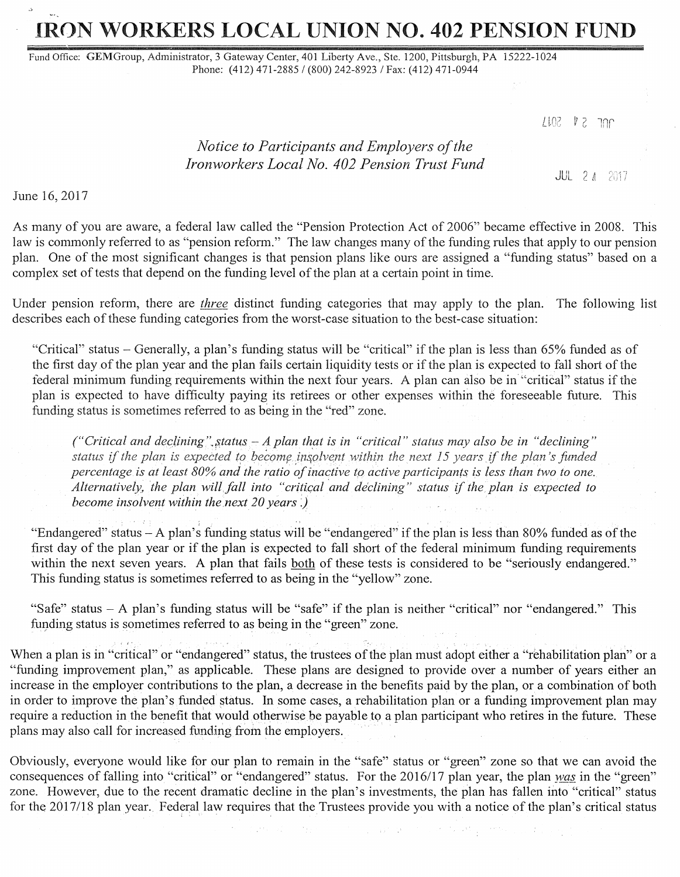# IRON WORKERS LOCAL UNION NO. 402 PENSION FUND

Fund Office: GEMGroup, Administrator, 3 Gateway Center, 401 Liberty Ave., Ste. 1200, Pittsburgh, PA 15222-1024 Phone: (412) 471-2885 / (800) 242-8923 / Fax: (412) 471-0944

 $LLOZ$  7  $Z$  7  $n$ r

# *Notice to Participants and Employers of the Ironworkers Local No. 402 Pension Trust Fund*

JUL 2 *A* 

June 16, 2017

As many of you are aware, a federal law called the "Pension Protection Act of 2006" became effective in 2008. This law is commonly referred to as "pension reform." The law changes many of the funding rules that apply to our pension plan. One of the most significant changes is that pension plans like ours are assigned a "funding status" based on a complex set of tests that depend on the funding level of the plan at a certain point in time.

Under pension reform, there are *three* distinct funding categories that may apply to the plan. The following list describes each of these funding categories from the worst-case situation to the best-case situation:

"Critical" status - Generally, a plan's funding status will be "critical" if the plan is less than 65% funded as of the first day of the plan year and the plan fails certain liquidity tests or if the plan is expected to fall short of the federal minimum funding requirements within the next four years. A plan can also be in ''critical" status if the plan is expected to have difficulty paying its retirees or other expenses within the foreseeable future. This funding status is sometimes referred to as being in the "red" zone.

*("Critical and dec}ining".;;,tatus -A plan that is in "critical" status may also be in "declining" status if the plan is expected to become insolvent within the next 15 years if the plan's funded percentage. is at least 80% and the ratio of inactive to active participants is less than two to one. Alternatively, the plan will fall into "critical and declining" status if the plan is expected to become insolvent within the next 20 years .)* 

"Endangered" status - A plan's funding status will be "endangered" if the plan is less than 80% funded as of the first day of the plan year or if the plan is expected to fall short of the federal minimum funding requirements within the next seven years. A plan that fails both of these tests is considered to be "seriously endangered." This funding status is sometimes referred to as being in the "yellow" zone.

"Safe" status - A plan's funding status will be "safe" if the plan is neither "critical" nor "endangered." This funding status is sometimes referred to as being in the "green" zone.

When a plan is in "critical" or "endangered" status, the trustees of the plan must adopt either a "rehabilitation plan" or a "funding improvement plan," as applicable. These plans are designed to provide over a number of years either an increase in the employer contributions to the plan, a decrease in the benefits paid by the plan, or a combination of both in order to improve the plan's funded status. In some cases, a rehabilitation plan or a funding improvement plan may require a reduction in the benefit that would otherwise be payable to a plan participant who retires in the future. These plans may also call for increased funding from the employers.

Obviously, everyone would like for our plan to remain in the "safe" status or "green" zone so that we can avoid the consequences of falling into "critical" or "endangered" status. For the 2016/17 plan year, the plan was in the "green" zone. However, due to the recent dramatic decline in the plan's investments, the plan has fallen into "critical" status for the 2017/18 plan year. Federal law requires that the Trustees provide you with a notice of the plan's critical status

and a program of the second state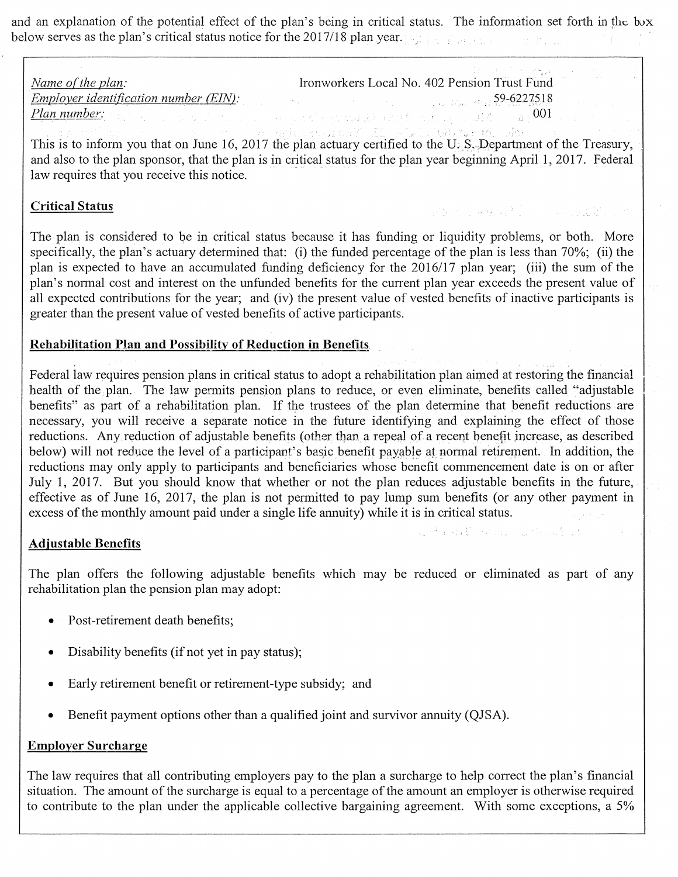and an explanation of the potential effect of the plan's being in critical status. The information set forth in the bux below serves as the plan's critical status notice for the 2017/18 plan year.

| Name of the plan: | 医水平 医马克氏试验检胆汁 医大脑心脏 机复数人<br>Ironworkers Local No. 402 Pension Trust Fund                                                                                                                                                      |
|-------------------|-------------------------------------------------------------------------------------------------------------------------------------------------------------------------------------------------------------------------------|
|                   | Employer identification number (EIN). Service of the state of the state of the state of the state of the state of the state of the state of the state of the state of the state of the state of the state of the state of the |
|                   |                                                                                                                                                                                                                               |

This is to inform you that on June 16, 2017 the plan actuary certified to the U.S., Department of the Treasury, and also to the plan sponsor, that the plan is in critical status for the plan year beginning April 1, 2017. Federal law requires that you receive this notice.

okti Kollang al≯ (orollana

and a staff position in though unit in

## Critical Status

The plan is considered to be ip critical status because it has funding or liquidity problems, or both. More specifically, the plan's actuary determined that: (i) the funded percentage of the plan is less than 70%; (ii) the plan is expected to have an accumulated funding deficiency for the 2016/17 plan year; (iii) the sum of the plan's normal cost and interest on the unfunded benefits for the current plan year exceeds the present value of all expected contributions for the year; and (iv) the present value of vested benefits of inactive participants is greater than the present value of vested benefits of active participants.

#### Rehabilitation Plan and Possibility of Reduction in Benefits.

Federal law requires pension plans in critical status to adopt a rehabilitation plan aimed at restoring the financial health of the plan. The law permits pension plans to reduce, or even eliminate, benefits called "adjustable" benefits" as part of a rehabilitation plan. If the trustees of the plan determine that benefit reductions are necessary, you will receive a separate notice in the future identifying and explaining the effect of those reductions. Any reduction of adjustable benefits (other than a repeal of a recent benefit increase, as described below) will not reduce the level of a participant's basic benefit payable at normal retirement. In addition, the reductions may only apply to participants and beneficiaries whose benefit commencement date is on or after July 1, 2017. But you should know that whether or not the plan reduces adjustable benefits in the future, effective as of June 16, 2017, the plan is not permitted to pay lump sum benefits (or any other payment in excess of the monthly amount paid under a single life annuity) while it is in critical status.

#### Adjustable Benefits

The plan offers the following adjustable benefits which may be reduced or eliminated as part of any rehabilitation plan the pension plan may adopt:

- Post-retirement death benefits;
- Disability benefits (if not yet in pay status);
- Early retirement benefit or retirement-type subsidy; and
- Benefit payment options other than a qualified joint and survivor annuity (QJSA).

#### Employer Surcharge

The law requires that all contributing employers pay to the plan a surcharge to help correct the plan's financial situation. The amount of the surcharge is equal to a percentage of the amount an employer is otherwise required to contribute to the plan under the applicable collective bargaining agreement. With some exceptions, a 5%